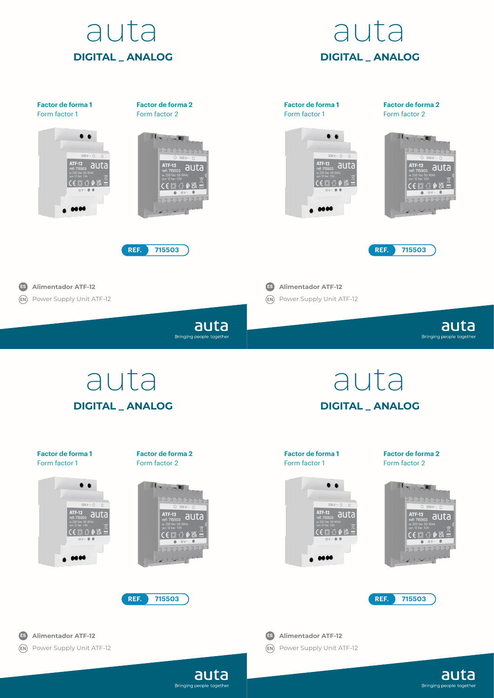





auta Bringing people together